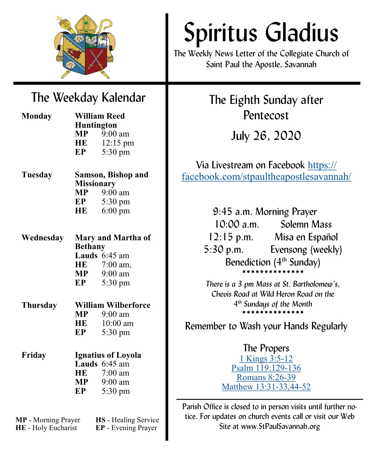

# Spiritus Gladius

The Weekly News Letter of the Collegiate Church of Saint Paul the Apostle, Savannah

## The Weekday Kalendar

| <b>Monday</b>   | <b>William Reed</b><br><b>Huntington</b> |                                                      |
|-----------------|------------------------------------------|------------------------------------------------------|
|                 |                                          |                                                      |
|                 |                                          | <b>MP</b> $\frac{9:00 \text{ am}}{12:15 \text{ pr}}$ |
|                 |                                          | 12:15 pm                                             |
|                 | EP                                       | 5:30 pm                                              |
| Tuesday         | <b>Samson, Bishop and</b>                |                                                      |
|                 | <b>Missionary</b>                        |                                                      |
|                 |                                          | $MP$ 9:00 am                                         |
|                 |                                          | <b>EP</b> 5:30 pm                                    |
|                 | HE                                       | $6:00 \text{ pm}$                                    |
| Wednesday       | Mary and Martha of                       |                                                      |
|                 | <b>Bethany</b>                           |                                                      |
|                 |                                          | Lauds $6:45$ am                                      |
|                 |                                          | HE 7:00 am,                                          |
|                 | MP                                       | $9:00$ am                                            |
|                 | EP                                       | 5:30 pm                                              |
| <b>Thursday</b> | <b>William Wilberforce</b>               |                                                      |
|                 | $\bf{MP}$                                | $9:00$ am                                            |
|                 | HE                                       | $10:00$ am                                           |
|                 | EP                                       | 5:30 pm                                              |
| Friday          | <b>Ignatius of Loyola</b>                |                                                      |
|                 |                                          | Lauds $6:45$ am                                      |
|                 |                                          | HE 7:00 am                                           |
|                 |                                          | <b>MP</b> 9:00 am                                    |
|                 | EP                                       | 5:30 pm                                              |
|                 |                                          |                                                      |

**MP** - Morning Prayer **HS** - Healing Service **HE** - Holy Eucharist **EP** - Evening Prayer

The Eighth Sunday after Pentecost

July 26, 2020

Via Livestream on Facebook [https://](https://facebook.com/stpaultheapostlesavannah/) [facebook.com/stpaultheapostlesavannah/](https://facebook.com/stpaultheapostlesavannah/)

> 9:45 a.m. Morning Prayer 10:00 a.m. Solemn Mass 12:15 p.m. Misa en Español 5:30 p.m. Evensong (weekly) Benediction  $(4<sup>th</sup>$  Sunday) \*\*\*\*\*\*\*\*\*\*\*\*\*

*There is a 3 pm Mass at St. Bartholomew's, Chevis Road at Wild Heron Road on the 4 th Sundays of the Month* \*\*\*\*\*\*\*\*\*\*\*\*\*\*

Remember to Wash your Hands Regularly

## The Propers

[1 Kings 3:5](https://www.lectionarypage.net/YearA_RCL/Pentecost/AProp12_RCL.html#ot2)-12 [Psalm 119:129](https://www.lectionarypage.net/YearA_RCL/Pentecost/AProp12_RCL.html#ps2)-136 [Romans 8:26](https://www.lectionarypage.net/YearA_RCL/Pentecost/AProp12_RCL.html#nt1)-39 [Matthew 13:31](https://www.lectionarypage.net/YearA_RCL/Pentecost/AProp12_RCL.html#gsp1)-33,44-52

Parish Office is closed to in person visits until further notice. For updates on church events call or visit our Web Site at www.StPaulSavannah.org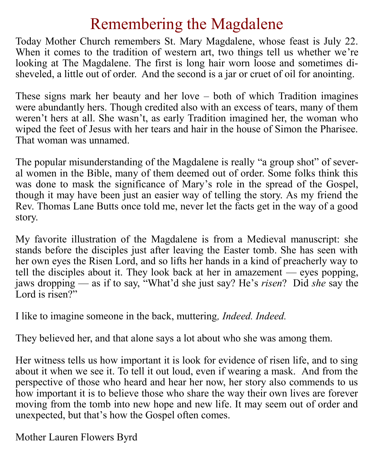# Remembering the Magdalene

Today Mother Church remembers St. Mary Magdalene, whose feast is July 22. When it comes to the tradition of western art, two things tell us whether we're looking at The Magdalene. The first is long hair worn loose and sometimes disheveled, a little out of order. And the second is a jar or cruet of oil for anointing.

These signs mark her beauty and her love – both of which Tradition imagines were abundantly hers. Though credited also with an excess of tears, many of them weren't hers at all. She wasn't, as early Tradition imagined her, the woman who wiped the feet of Jesus with her tears and hair in the house of Simon the Pharisee. That woman was unnamed.

The popular misunderstanding of the Magdalene is really "a group shot" of several women in the Bible, many of them deemed out of order. Some folks think this was done to mask the significance of Mary's role in the spread of the Gospel, though it may have been just an easier way of telling the story. As my friend the Rev. Thomas Lane Butts once told me, never let the facts get in the way of a good story.

My favorite illustration of the Magdalene is from a Medieval manuscript: she stands before the disciples just after leaving the Easter tomb. She has seen with her own eyes the Risen Lord, and so lifts her hands in a kind of preacherly way to tell the disciples about it. They look back at her in amazement — eyes popping, jaws dropping — as if to say, "What'd she just say? He's *risen*? Did *she* say the Lord is risen?"

I like to imagine someone in the back, muttering*, Indeed. Indeed.*

They believed her, and that alone says a lot about who she was among them.

Her witness tells us how important it is look for evidence of risen life, and to sing about it when we see it. To tell it out loud, even if wearing a mask. And from the perspective of those who heard and hear her now, her story also commends to us how important it is to believe those who share the way their own lives are forever moving from the tomb into new hope and new life. It may seem out of order and unexpected, but that's how the Gospel often comes.

Mother Lauren Flowers Byrd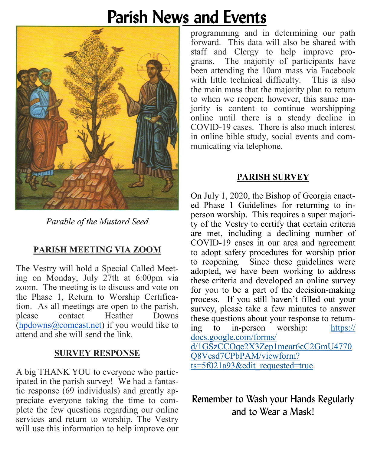# Parish News and Events



*Parable of the Mustard Seed* 

## **PARISH MEETING VIA ZOOM**

The Vestry will hold a Special Called Meeting on Monday, July 27th at 6:00pm via zoom. The meeting is to discuss and vote on the Phase 1, Return to Worship Certification. As all meetings are open to the parish, please contact Heather Downs ([hpdowns@comcast.net\)](mailto:hpdowns@comcast.net) if you would like to attend and she will send the link.

## **SURVEY RESPONSE**

A big THANK YOU to everyone who participated in the parish survey! We had a fantastic response (69 individuals) and greatly appreciate everyone taking the time to complete the few questions regarding our online services and return to worship. The Vestry will use this information to help improve our

programming and in determining our path forward. This data will also be shared with staff and Clergy to help improve programs. The majority of participants have been attending the 10am mass via Facebook with little technical difficulty. This is also the main mass that the majority plan to return to when we reopen; however, this same majority is content to continue worshipping online until there is a steady decline in COVID-19 cases. There is also much interest in online bible study, social events and communicating via telephone.

## **PARISH SURVEY**

On July 1, 2020, the Bishop of Georgia enacted Phase 1 Guidelines for returning to inperson worship. This requires a super majority of the Vestry to certify that certain criteria are met, including a declining number of COVID-19 cases in our area and agreement to adopt safety procedures for worship prior to reopening. Since these guidelines were adopted, we have been working to address these criteria and developed an online survey for you to be a part of the decision-making process. If you still haven't filled out your survey, please take a few minutes to answer these questions about your response to returning to in-person worship: [https://](https://docs.google.com/forms/d/1GSzCCOqe2X3Zep1mear6cC2GmU4770Q8Vcsd7CPbPAM/viewform?ts=5f021a93&edit_requested=true) [docs.google.com/forms/](https://docs.google.com/forms/d/1GSzCCOqe2X3Zep1mear6cC2GmU4770Q8Vcsd7CPbPAM/viewform?ts=5f021a93&edit_requested=true) [d/1GSzCCOqe2X3Zep1mear6cC2GmU4770](https://docs.google.com/forms/d/1GSzCCOqe2X3Zep1mear6cC2GmU4770Q8Vcsd7CPbPAM/viewform?ts=5f021a93&edit_requested=true) [Q8Vcsd7CPbPAM/viewform?](https://docs.google.com/forms/d/1GSzCCOqe2X3Zep1mear6cC2GmU4770Q8Vcsd7CPbPAM/viewform?ts=5f021a93&edit_requested=true) [ts=5f021a93&edit\\_requested=true.](https://docs.google.com/forms/d/1GSzCCOqe2X3Zep1mear6cC2GmU4770Q8Vcsd7CPbPAM/viewform?ts=5f021a93&edit_requested=true)

## Remember to Wash your Hands Regularly and to Wear a Mask!